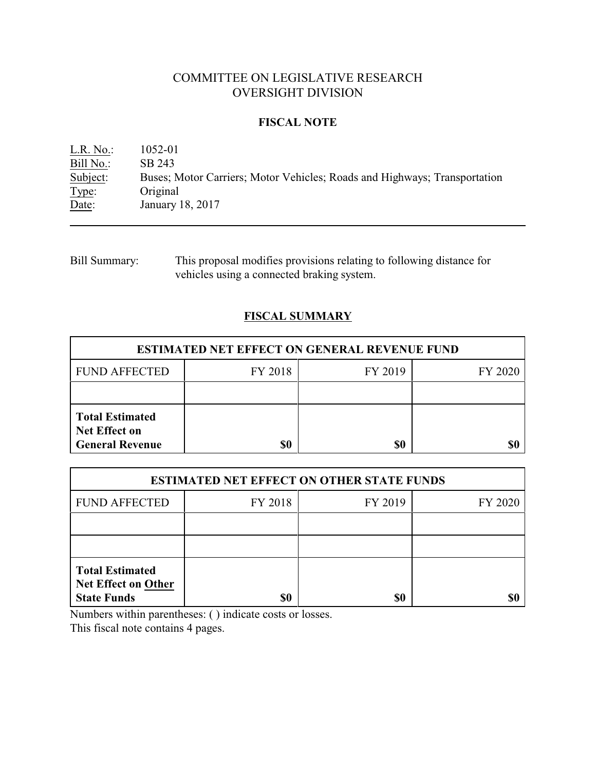# COMMITTEE ON LEGISLATIVE RESEARCH OVERSIGHT DIVISION

### **FISCAL NOTE**

L.R. No.: 1052-01  $\frac{\text{Bill No.}}{\text{Subject:}}$  SB 243<br>Subject: Buses; N Buses; Motor Carriers; Motor Vehicles; Roads and Highways; Transportation Type: Original Date: January 18, 2017

Bill Summary: This proposal modifies provisions relating to following distance for vehicles using a connected braking system.

## **FISCAL SUMMARY**

| <b>ESTIMATED NET EFFECT ON GENERAL REVENUE FUND</b>                      |         |         |         |  |
|--------------------------------------------------------------------------|---------|---------|---------|--|
| <b>FUND AFFECTED</b>                                                     | FY 2018 | FY 2019 | FY 2020 |  |
|                                                                          |         |         |         |  |
| <b>Total Estimated</b><br><b>Net Effect on</b><br><b>General Revenue</b> | \$0     | \$0     |         |  |

| <b>ESTIMATED NET EFFECT ON OTHER STATE FUNDS</b>                           |         |         |         |  |
|----------------------------------------------------------------------------|---------|---------|---------|--|
| <b>FUND AFFECTED</b>                                                       | FY 2018 | FY 2019 | FY 2020 |  |
|                                                                            |         |         |         |  |
|                                                                            |         |         |         |  |
| <b>Total Estimated</b><br><b>Net Effect on Other</b><br><b>State Funds</b> | \$0     | \$0     |         |  |

Numbers within parentheses: ( ) indicate costs or losses.

This fiscal note contains 4 pages.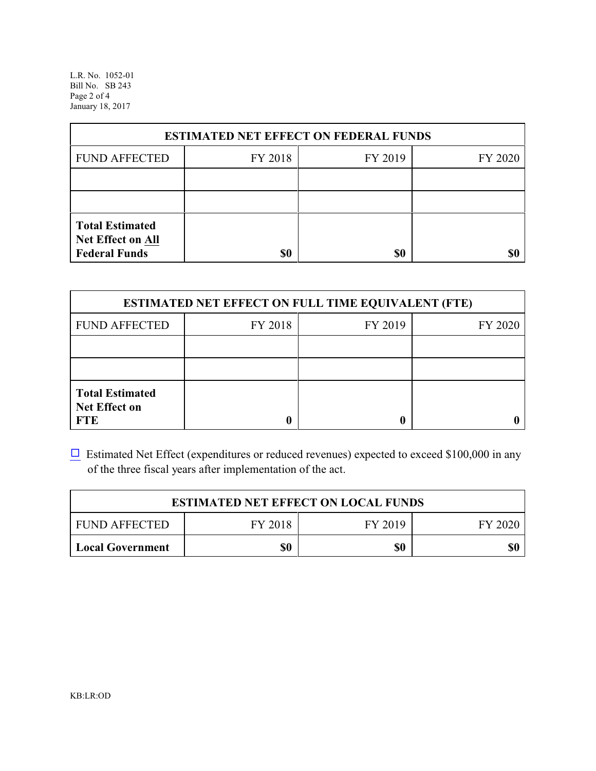L.R. No. 1052-01 Bill No. SB 243 Page 2 of 4 January 18, 2017

| <b>ESTIMATED NET EFFECT ON FEDERAL FUNDS</b>                        |         |         |         |  |
|---------------------------------------------------------------------|---------|---------|---------|--|
| <b>FUND AFFECTED</b>                                                | FY 2018 | FY 2019 | FY 2020 |  |
|                                                                     |         |         |         |  |
|                                                                     |         |         |         |  |
| <b>Total Estimated</b><br>Net Effect on All<br><b>Federal Funds</b> | \$0     | \$0     |         |  |

| <b>ESTIMATED NET EFFECT ON FULL TIME EQUIVALENT (FTE)</b>    |         |         |         |  |
|--------------------------------------------------------------|---------|---------|---------|--|
| <b>FUND AFFECTED</b>                                         | FY 2018 | FY 2019 | FY 2020 |  |
|                                                              |         |         |         |  |
|                                                              |         |         |         |  |
| <b>Total Estimated</b><br><b>Net Effect on</b><br><b>FTE</b> |         |         |         |  |

 $\Box$  Estimated Net Effect (expenditures or reduced revenues) expected to exceed \$100,000 in any of the three fiscal years after implementation of the act.

| <b>ESTIMATED NET EFFECT ON LOCAL FUNDS</b> |         |         |         |
|--------------------------------------------|---------|---------|---------|
| <b>FUND AFFECTED</b>                       | FY 2018 | FY 2019 | FY 2020 |
| <b>Local Government</b>                    | \$0     | \$0     | \$0     |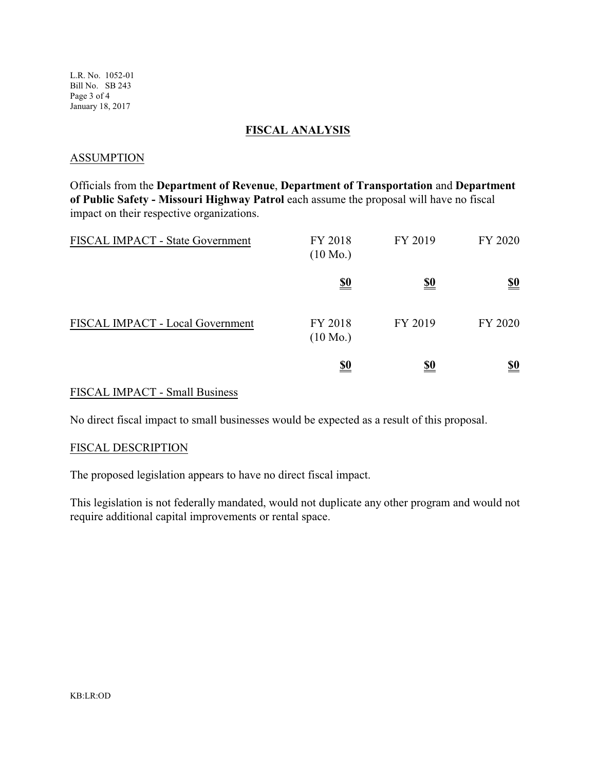L.R. No. 1052-01 Bill No. SB 243 Page 3 of 4 January 18, 2017

### **FISCAL ANALYSIS**

#### **ASSUMPTION**

Officials from the **Department of Revenue**, **Department of Transportation** and **Department of Public Safety - Missouri Highway Patrol** each assume the proposal will have no fiscal impact on their respective organizations.

| FISCAL IMPACT - State Government | FY 2018<br>$(10 \text{ Mo.})$ | FY 2019    | FY 2020                       |
|----------------------------------|-------------------------------|------------|-------------------------------|
|                                  | <u>\$0</u>                    | <u>\$0</u> | $\underline{\underline{\$0}}$ |
| FISCAL IMPACT - Local Government | FY 2018<br>$(10 \text{ Mo.})$ | FY 2019    | FY 2020                       |
|                                  | <u>\$0</u>                    | <u>\$0</u> | <u>\$0</u>                    |

### FISCAL IMPACT - Small Business

No direct fiscal impact to small businesses would be expected as a result of this proposal.

#### FISCAL DESCRIPTION

The proposed legislation appears to have no direct fiscal impact.

This legislation is not federally mandated, would not duplicate any other program and would not require additional capital improvements or rental space.